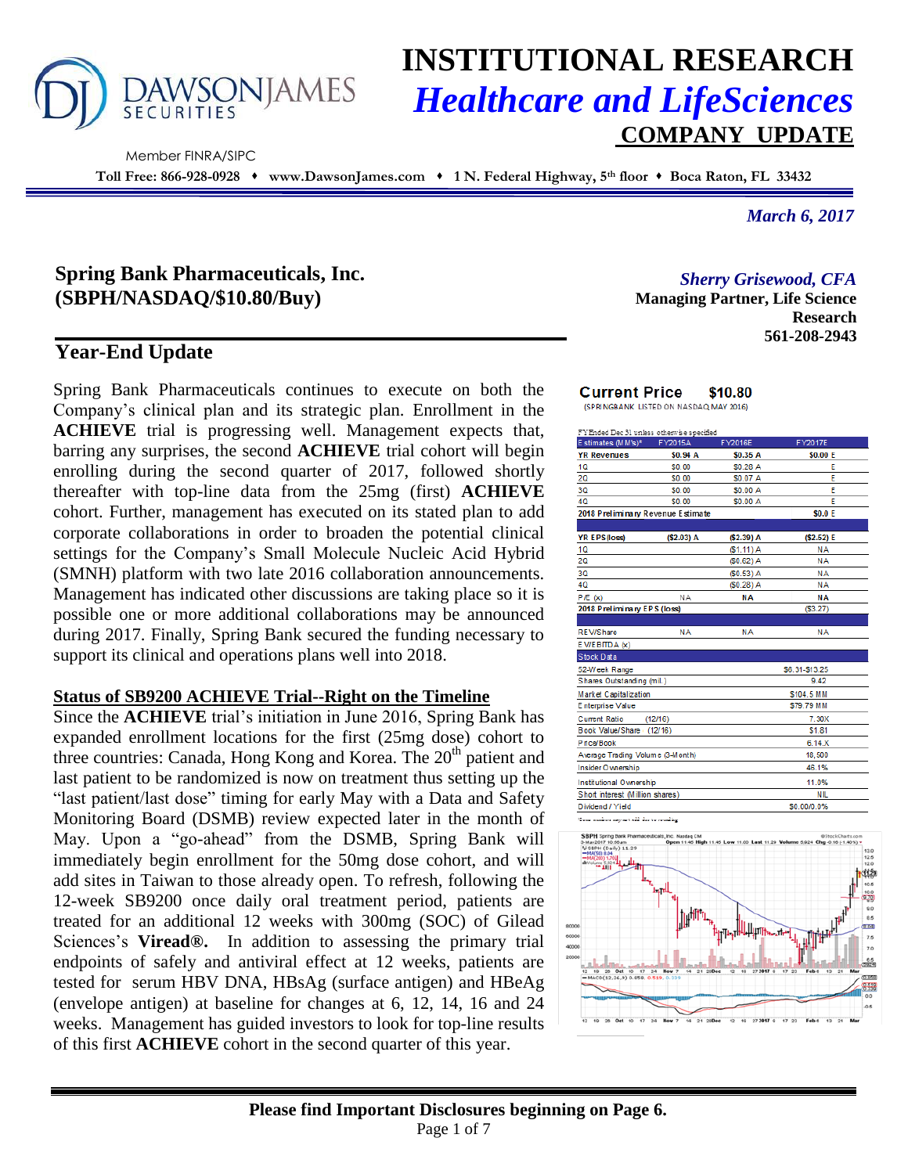

# **INSTITUTIONAL RESEARCH** *Healthcare and LifeSciences* **COMPANY UPDATE**

Member FINRA/SIPC

**Toll Free: 866-928-0928 www.DawsonJames.com 1 N. Federal Highway, 5th floor Boca Raton, FL 33432**

*March 6, 2017*

# **Spring Bank Pharmaceuticals, Inc. (SBPH/NASDAQ/\$10.80/Buy)**

# **Year-End Update**

Spring Bank Pharmaceuticals continues to execute on both the Company's clinical plan and its strategic plan. Enrollment in the **ACHIEVE** trial is progressing well. Management expects that, barring any surprises, the second **ACHIEVE** trial cohort will begin enrolling during the second quarter of 2017, followed shortly thereafter with top-line data from the 25mg (first) **ACHIEVE** cohort. Further, management has executed on its stated plan to add corporate collaborations in order to broaden the potential clinical settings for the Company's Small Molecule Nucleic Acid Hybrid (SMNH) platform with two late 2016 collaboration announcements. Management has indicated other discussions are taking place so it is possible one or more additional collaborations may be announced during 2017. Finally, Spring Bank secured the funding necessary to support its clinical and operations plans well into 2018.

#### **Status of SB9200 ACHIEVE Trial--Right on the Timeline**

Since the **ACHIEVE** trial's initiation in June 2016, Spring Bank has expanded enrollment locations for the first (25mg dose) cohort to three countries: Canada, Hong Kong and Korea. The 20<sup>th</sup> patient and last patient to be randomized is now on treatment thus setting up the "last patient/last dose" timing for early May with a Data and Safety Monitoring Board (DSMB) review expected later in the month of May. Upon a "go-ahead" from the DSMB, Spring Bank will immediately begin enrollment for the 50mg dose cohort, and will add sites in Taiwan to those already open. To refresh, following the 12-week SB9200 once daily oral treatment period, patients are treated for an additional 12 weeks with 300mg (SOC) of Gilead Sciences's **Viread®.** In addition to assessing the primary trial endpoints of safely and antiviral effect at 12 weeks, patients are tested for serum HBV DNA, HBsAg (surface antigen) and HBeAg (envelope antigen) at baseline for changes at 6, 12, 14, 16 and 24 weeks. Management has guided investors to look for top-line results of this first **ACHIEVE** cohort in the second quarter of this year.

*Sherry Grisewood, CFA*

**Managing Partner, Life Science Research 561-208-2943**

#### **Current Price** \$10.80 (SPRINGBANK LISTED ON NASDAQ MAY 2016)

| FYEnded Dec 31 unless otherwise specified |                                       |             |                |  |  |  |  |  |
|-------------------------------------------|---------------------------------------|-------------|----------------|--|--|--|--|--|
| E stimates $(M M's)^*$                    | FY2015A                               | FY2016E     | FY2017E        |  |  |  |  |  |
| <b>YR Revenues</b>                        | \$0.94 A                              | \$0.35 A    | \$0.00 E       |  |  |  |  |  |
| 1Q                                        | \$0.00                                | \$0.28 A    | E              |  |  |  |  |  |
| 20                                        | \$0.00                                | \$0.07 A    | F              |  |  |  |  |  |
| 3Q                                        | \$0.00                                | \$0.00 A    | E              |  |  |  |  |  |
| 4Q                                        | \$0.00                                | \$0.00 A    | E              |  |  |  |  |  |
| 2018 Preliminary Revenue Estimate         |                                       |             | \$0.0 E        |  |  |  |  |  |
|                                           |                                       |             |                |  |  |  |  |  |
| <b>YR EPS (loss)</b>                      | (\$2.03) A                            | (\$2.39) A  | (52.52) E      |  |  |  |  |  |
| 1Q                                        |                                       | $(S1.11)$ A | <b>NA</b>      |  |  |  |  |  |
| 20                                        |                                       | $(50.62)$ A | <b>NA</b>      |  |  |  |  |  |
| 3Q                                        |                                       | (S0.53) A   | <b>NA</b>      |  |  |  |  |  |
| 40                                        |                                       | $(S0.28)$ A | <b>NA</b>      |  |  |  |  |  |
| P/E(x)                                    | NΑ                                    | <b>NA</b>   | <b>NA</b>      |  |  |  |  |  |
| 2018 Preliminary EPS (loss)               |                                       |             | (53.27)        |  |  |  |  |  |
|                                           |                                       |             |                |  |  |  |  |  |
| <b>REV/Share</b>                          | NА                                    | NА          | <b>NA</b>      |  |  |  |  |  |
| EV/EBITDA (x)                             |                                       |             |                |  |  |  |  |  |
| Stock Data                                |                                       |             |                |  |  |  |  |  |
| 52-Week Range                             |                                       |             | \$6.31-\$13.25 |  |  |  |  |  |
| Shares Outstanding (mil.)                 |                                       |             | 9.42           |  |  |  |  |  |
| Market Capitalization                     |                                       |             | \$104.5 MM     |  |  |  |  |  |
| Enterprise Value                          |                                       |             | \$79.79 MM     |  |  |  |  |  |
| <b>Current Ratio</b>                      | (12/16)                               |             | 7.30X          |  |  |  |  |  |
| Book Value/Share                          | (12/16)                               |             | \$1.81         |  |  |  |  |  |
| Price/Book                                |                                       |             | 6.14.X         |  |  |  |  |  |
| Average Trading Volume (3-Month)          |                                       |             | 18,500         |  |  |  |  |  |
| Insider O wnership                        |                                       |             | 46.1%          |  |  |  |  |  |
| <b>Institutional Ownership</b>            |                                       | 11.0%       |                |  |  |  |  |  |
|                                           | Short interest (Million shares)<br>NL |             |                |  |  |  |  |  |
| Dividend / Yield                          | \$0.00/0.0%                           |             |                |  |  |  |  |  |
| How washed agreed ald he is constant      |                                       |             |                |  |  |  |  |  |

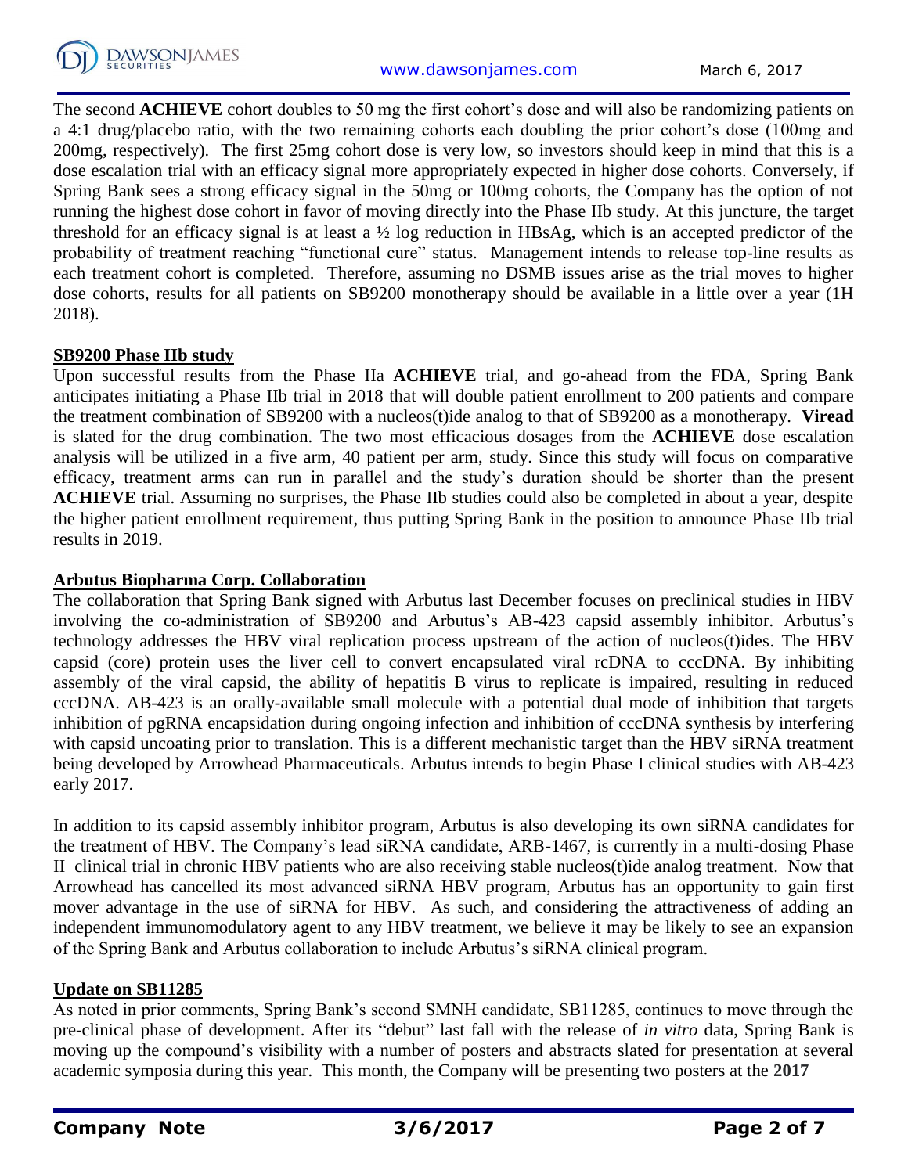

The second **ACHIEVE** cohort doubles to 50 mg the first cohort's dose and will also be randomizing patients on a 4:1 drug/placebo ratio, with the two remaining cohorts each doubling the prior cohort's dose (100mg and 200mg, respectively). The first 25mg cohort dose is very low, so investors should keep in mind that this is a dose escalation trial with an efficacy signal more appropriately expected in higher dose cohorts. Conversely, if Spring Bank sees a strong efficacy signal in the 50mg or 100mg cohorts, the Company has the option of not running the highest dose cohort in favor of moving directly into the Phase IIb study. At this juncture, the target threshold for an efficacy signal is at least a ½ log reduction in HBsAg, which is an accepted predictor of the probability of treatment reaching "functional cure" status. Management intends to release top-line results as each treatment cohort is completed. Therefore, assuming no DSMB issues arise as the trial moves to higher dose cohorts, results for all patients on SB9200 monotherapy should be available in a little over a year (1H) 2018).

#### **SB9200 Phase IIb study**

Upon successful results from the Phase IIa **ACHIEVE** trial, and go-ahead from the FDA, Spring Bank anticipates initiating a Phase IIb trial in 2018 that will double patient enrollment to 200 patients and compare the treatment combination of SB9200 with a nucleos(t)ide analog to that of SB9200 as a monotherapy. **Viread** is slated for the drug combination. The two most efficacious dosages from the **ACHIEVE** dose escalation analysis will be utilized in a five arm, 40 patient per arm, study. Since this study will focus on comparative efficacy, treatment arms can run in parallel and the study's duration should be shorter than the present **ACHIEVE** trial. Assuming no surprises, the Phase IIb studies could also be completed in about a year, despite the higher patient enrollment requirement, thus putting Spring Bank in the position to announce Phase IIb trial results in 2019.

#### **Arbutus Biopharma Corp. Collaboration**

The collaboration that Spring Bank signed with Arbutus last December focuses on preclinical studies in HBV involving the co-administration of SB9200 and Arbutus's AB-423 capsid assembly inhibitor. Arbutus's technology addresses the HBV viral replication process upstream of the action of nucleos(t)ides. The HBV capsid (core) protein uses the liver cell to convert encapsulated viral rcDNA to cccDNA. By inhibiting assembly of the viral capsid, the ability of hepatitis B virus to replicate is impaired, resulting in reduced cccDNA. AB-423 is an orally-available small molecule with a potential dual mode of inhibition that targets inhibition of pgRNA encapsidation during ongoing infection and inhibition of cccDNA synthesis by interfering with capsid uncoating prior to translation. This is a different mechanistic target than the HBV siRNA treatment being developed by Arrowhead Pharmaceuticals. Arbutus intends to begin Phase I clinical studies with AB-423 early 2017.

In addition to its capsid assembly inhibitor program, Arbutus is also developing its own siRNA candidates for the treatment of HBV. The Company's lead siRNA candidate, ARB-1467, is currently in a multi-dosing Phase II clinical trial in chronic HBV patients who are also receiving stable nucleos(t)ide analog treatment. Now that Arrowhead has cancelled its most advanced siRNA HBV program, Arbutus has an opportunity to gain first mover advantage in the use of siRNA for HBV. As such, and considering the attractiveness of adding an independent immunomodulatory agent to any HBV treatment, we believe it may be likely to see an expansion of the Spring Bank and Arbutus collaboration to include Arbutus's siRNA clinical program.

#### **Update on SB11285**

As noted in prior comments, Spring Bank's second SMNH candidate, SB11285, continues to move through the pre-clinical phase of development. After its "debut" last fall with the release of *in vitro* data, Spring Bank is moving up the compound's visibility with a number of posters and abstracts slated for presentation at several academic symposia during this year. This month, the Company will be presenting two posters at the **2017**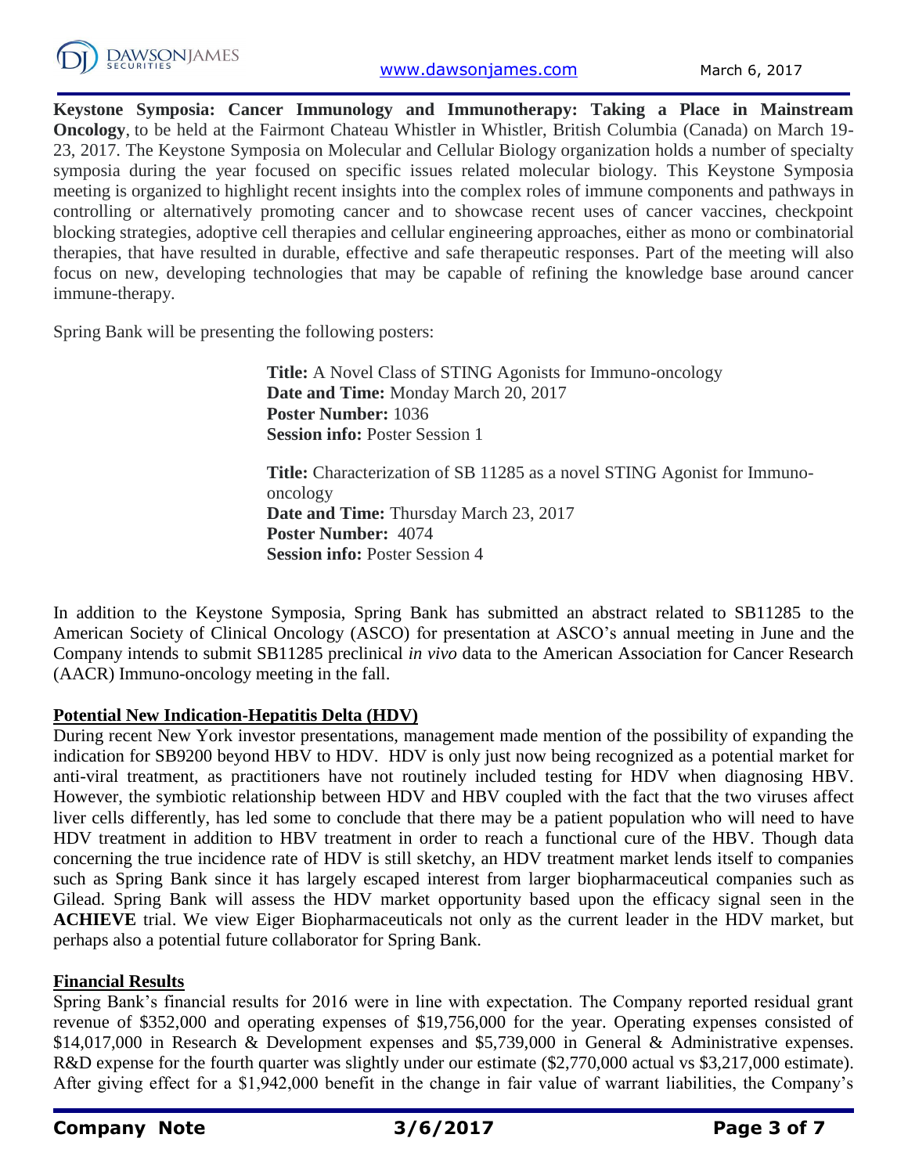

**Keystone Symposia: Cancer Immunology and Immunotherapy: Taking a Place in Mainstream Oncology**, to be held at the Fairmont Chateau Whistler in Whistler, British Columbia (Canada) on March 19- 23, 2017. The Keystone Symposia on Molecular and Cellular Biology organization holds a number of specialty symposia during the year focused on specific issues related molecular biology. This Keystone Symposia meeting is organized to highlight recent insights into the complex roles of immune components and pathways in controlling or alternatively promoting cancer and to showcase recent uses of cancer vaccines, checkpoint blocking strategies, adoptive cell therapies and cellular engineering approaches, either as mono or combinatorial therapies, that have resulted in durable, effective and safe therapeutic responses. Part of the meeting will also focus on new, developing technologies that may be capable of refining the knowledge base around cancer immune-therapy.

Spring Bank will be presenting the following posters:

**Title:** A Novel Class of STING Agonists for Immuno-oncology **Date and Time:** Monday March 20, 2017 **Poster Number:** 1036 **Session info:** Poster Session 1

**Title:** Characterization of SB 11285 as a novel STING Agonist for Immunooncology **Date and Time:** Thursday March 23, 2017 **Poster Number:** 4074 **Session info:** Poster Session 4

In addition to the Keystone Symposia, Spring Bank has submitted an abstract related to SB11285 to the American Society of Clinical Oncology (ASCO) for presentation at ASCO's annual meeting in June and the Company intends to submit SB11285 preclinical *in vivo* data to the American Association for Cancer Research (AACR) Immuno-oncology meeting in the fall.

### **Potential New Indication-Hepatitis Delta (HDV)**

During recent New York investor presentations, management made mention of the possibility of expanding the indication for SB9200 beyond HBV to HDV. HDV is only just now being recognized as a potential market for anti-viral treatment, as practitioners have not routinely included testing for HDV when diagnosing HBV. However, the symbiotic relationship between HDV and HBV coupled with the fact that the two viruses affect liver cells differently, has led some to conclude that there may be a patient population who will need to have HDV treatment in addition to HBV treatment in order to reach a functional cure of the HBV. Though data concerning the true incidence rate of HDV is still sketchy, an HDV treatment market lends itself to companies such as Spring Bank since it has largely escaped interest from larger biopharmaceutical companies such as Gilead. Spring Bank will assess the HDV market opportunity based upon the efficacy signal seen in the **ACHIEVE** trial. We view Eiger Biopharmaceuticals not only as the current leader in the HDV market, but perhaps also a potential future collaborator for Spring Bank.

#### **Financial Results**

Spring Bank's financial results for 2016 were in line with expectation. The Company reported residual grant revenue of \$352,000 and operating expenses of \$19,756,000 for the year. Operating expenses consisted of \$14,017,000 in Research & Development expenses and \$5,739,000 in General & Administrative expenses. R&D expense for the fourth quarter was slightly under our estimate (\$2,770,000 actual vs \$3,217,000 estimate). After giving effect for a \$1,942,000 benefit in the change in fair value of warrant liabilities, the Company's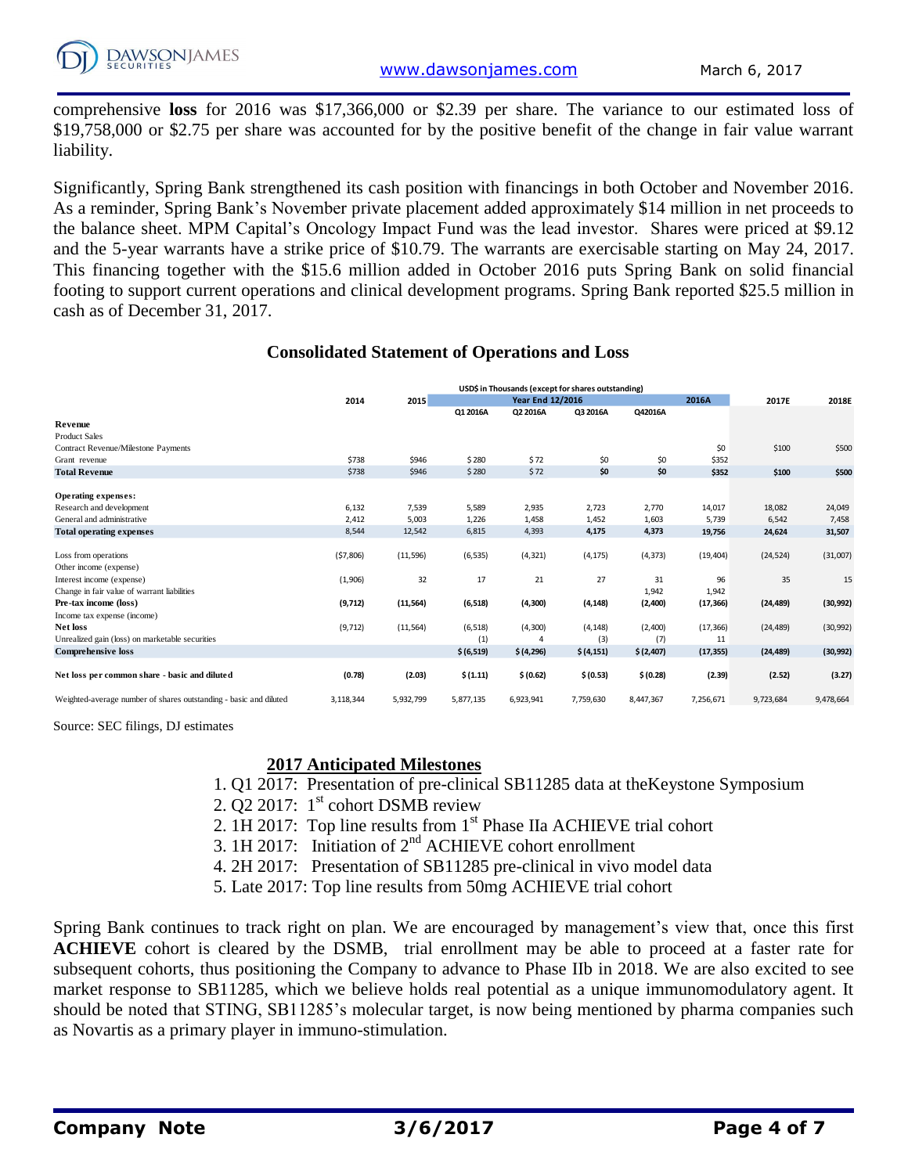comprehensive **loss** for 2016 was \$17,366,000 or \$2.39 per share. The variance to our estimated loss of \$19,758,000 or \$2.75 per share was accounted for by the positive benefit of the change in fair value warrant liability.

Significantly, Spring Bank strengthened its cash position with financings in both October and November 2016. As a reminder, Spring Bank's November private placement added approximately \$14 million in net proceeds to the balance sheet. MPM Capital's Oncology Impact Fund was the lead investor. Shares were priced at \$9.12 and the 5-year warrants have a strike price of \$10.79. The warrants are exercisable starting on May 24, 2017. This financing together with the \$15.6 million added in October 2016 puts Spring Bank on solid financial footing to support current operations and clinical development programs. Spring Bank reported \$25.5 million in cash as of December 31, 2017.

#### **Consolidated Statement of Operations and Loss**

|                                                                   | USD\$ in Thousands (except for shares outstanding) |           |                         |                |            |           |           |           |           |
|-------------------------------------------------------------------|----------------------------------------------------|-----------|-------------------------|----------------|------------|-----------|-----------|-----------|-----------|
|                                                                   | 2014                                               | 2015      | <b>Year End 12/2016</b> |                |            | 2016A     | 2017E     | 2018E     |           |
|                                                                   |                                                    |           | Q1 2016A                | Q2 2016A       | Q3 2016A   | Q42016A   |           |           |           |
| Revenue                                                           |                                                    |           |                         |                |            |           |           |           |           |
| <b>Product Sales</b>                                              |                                                    |           |                         |                |            |           |           |           |           |
| Contract Revenue/Milestone Payments                               |                                                    |           |                         |                |            |           | \$0       | \$100     | \$500     |
| Grant revenue                                                     | \$738                                              | \$946     | \$280                   | \$72           | \$0        | \$0       | \$352     |           |           |
| <b>Total Revenue</b>                                              | \$738                                              | \$946     | \$280                   | \$72           | \$0        | \$0       | \$352     | \$100     | \$500     |
|                                                                   |                                                    |           |                         |                |            |           |           |           |           |
| <b>Operating expenses:</b>                                        |                                                    |           |                         |                |            |           |           |           |           |
| Research and development                                          | 6,132                                              | 7,539     | 5,589                   | 2,935          | 2,723      | 2,770     | 14,017    | 18,082    | 24,049    |
| General and administrative                                        | 2,412                                              | 5,003     | 1,226                   | 1,458          | 1,452      | 1,603     | 5,739     | 6,542     | 7,458     |
| <b>Total operating expenses</b>                                   | 8,544                                              | 12,542    | 6,815                   | 4,393          | 4,175      | 4,373     | 19,756    | 24,624    | 31,507    |
|                                                                   |                                                    |           |                         |                |            |           |           |           |           |
| Loss from operations                                              | (57,806)                                           | (11, 596) | (6, 535)                | (4, 321)       | (4, 175)   | (4, 373)  | (19, 404) | (24, 524) | (31,007)  |
| Other income (expense)                                            |                                                    |           |                         |                |            |           |           |           |           |
| Interest income (expense)                                         | (1,906)                                            | 32        | 17                      | 21             | 27         | 31        | 96        | 35        | 15        |
| Change in fair value of warrant liabilities                       |                                                    |           |                         |                |            | 1,942     | 1,942     |           |           |
| Pre-tax income (loss)                                             | (9,712)                                            | (11, 564) | (6, 518)                | (4, 300)       | (4, 148)   | (2,400)   | (17, 366) | (24, 489) | (30, 992) |
| Income tax expense (income)                                       |                                                    |           |                         |                |            |           |           |           |           |
| <b>Net loss</b>                                                   | (9, 712)                                           | (11, 564) | (6, 518)                | (4, 300)       | (4, 148)   | (2,400)   | (17, 366) | (24, 489) | (30, 992) |
| Unrealized gain (loss) on marketable securities                   |                                                    |           | (1)                     | $\overline{4}$ | (3)        | (7)       | 11        |           |           |
| <b>Comprehensive loss</b>                                         |                                                    |           | \$ (6,519)              | \$ (4,296)     | \$ (4,151) | \$(2,407) | (17, 355) | (24, 489) | (30, 992) |
|                                                                   |                                                    |           |                         |                |            |           |           |           |           |
| Net loss per common share - basic and diluted                     | (0.78)                                             | (2.03)    | \$(1.11)                | \$ (0.62)      | \$ (0.53)  | \$ (0.28) | (2.39)    | (2.52)    | (3.27)    |
|                                                                   |                                                    |           |                         |                |            |           |           |           |           |
| Weighted-average number of shares outstanding - basic and diluted | 3,118,344                                          | 5,932,799 | 5,877,135               | 6,923,941      | 7,759,630  | 8,447,367 | 7,256,671 | 9,723,684 | 9,478,664 |

Source: SEC filings, DJ estimates

#### **2017 Anticipated Milestones**

- 1. Q1 2017: Presentation of pre-clinical SB11285 data at theKeystone Symposium
- 2.  $\overline{Q}$ 2 2017: 1<sup>st</sup> cohort DSMB review
- 2. 1H 2017: Top line results from 1<sup>st</sup> Phase IIa ACHIEVE trial cohort
- 3. 1H 2017: Initiation of 2nd ACHIEVE cohort enrollment
- 4. 2H 2017: Presentation of SB11285 pre-clinical in vivo model data
- 5. Late 2017: Top line results from 50mg ACHIEVE trial cohort

Spring Bank continues to track right on plan. We are encouraged by management's view that, once this first **ACHIEVE** cohort is cleared by the DSMB, trial enrollment may be able to proceed at a faster rate for subsequent cohorts, thus positioning the Company to advance to Phase IIb in 2018. We are also excited to see market response to SB11285, which we believe holds real potential as a unique immunomodulatory agent. It should be noted that STING, SB11285's molecular target, is now being mentioned by pharma companies such as Novartis as a primary player in immuno-stimulation.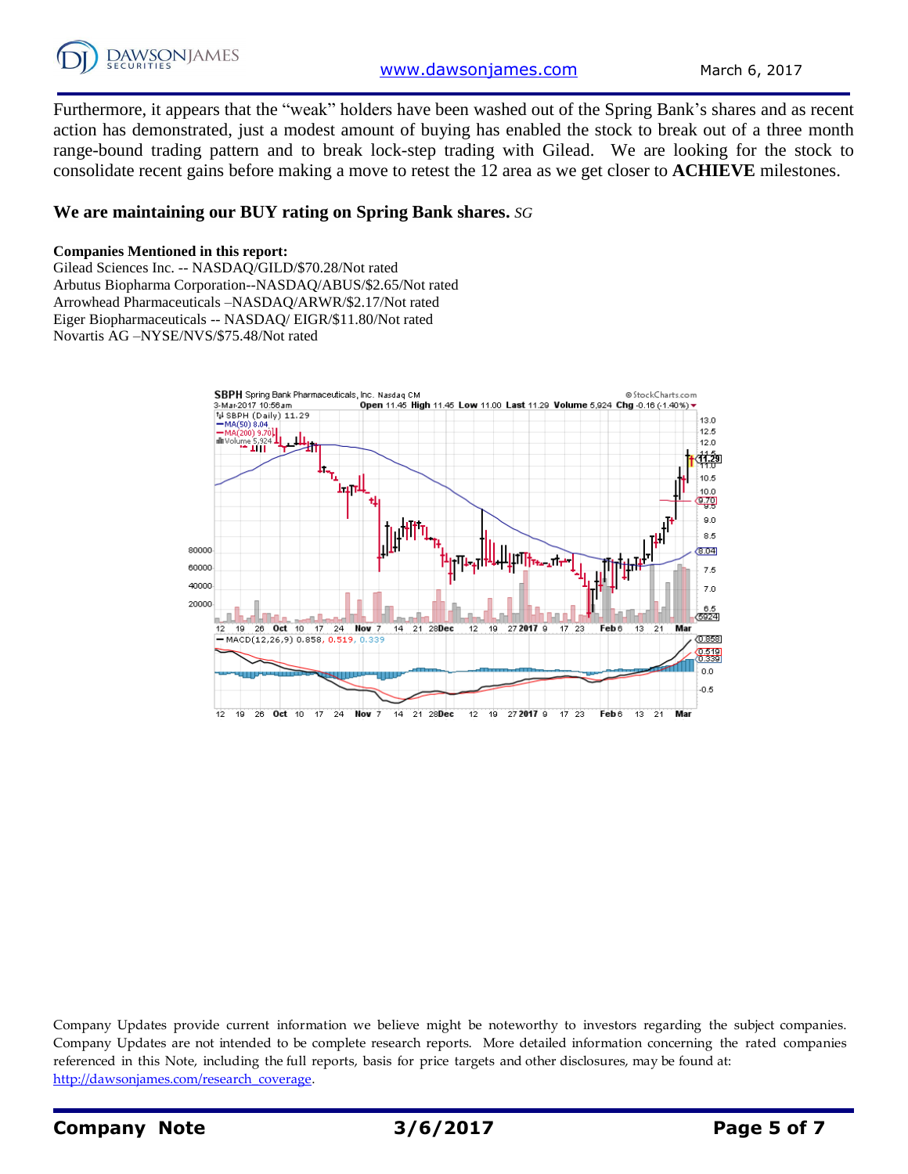

Furthermore, it appears that the "weak" holders have been washed out of the Spring Bank's shares and as recent action has demonstrated, just a modest amount of buying has enabled the stock to break out of a three month range-bound trading pattern and to break lock-step trading with Gilead. We are looking for the stock to consolidate recent gains before making a move to retest the 12 area as we get closer to **ACHIEVE** milestones.

#### **We are maintaining our BUY rating on Spring Bank shares.** *SG*

#### **Companies Mentioned in this report:**

Gilead Sciences Inc. -- NASDAQ/GILD/\$70.28/Not rated Arbutus Biopharma Corporation--NASDAQ/ABUS/\$2.65/Not rated Arrowhead Pharmaceuticals –NASDAQ/ARWR/\$2.17/Not rated Eiger Biopharmaceuticals -- NASDAQ/ EIGR/\$11.80/Not rated Novartis AG –NYSE/NVS/\$75.48/Not rated



Company Updates provide current information we believe might be noteworthy to investors regarding the subject companies. Company Updates are not intended to be complete research reports. More detailed information concerning the rated companies referenced in this Note, including the full reports, basis for price targets and other disclosures, may be found at: [http://dawsonjames.com/research\\_coverage.](http://dawsonjames.com/research_coverage)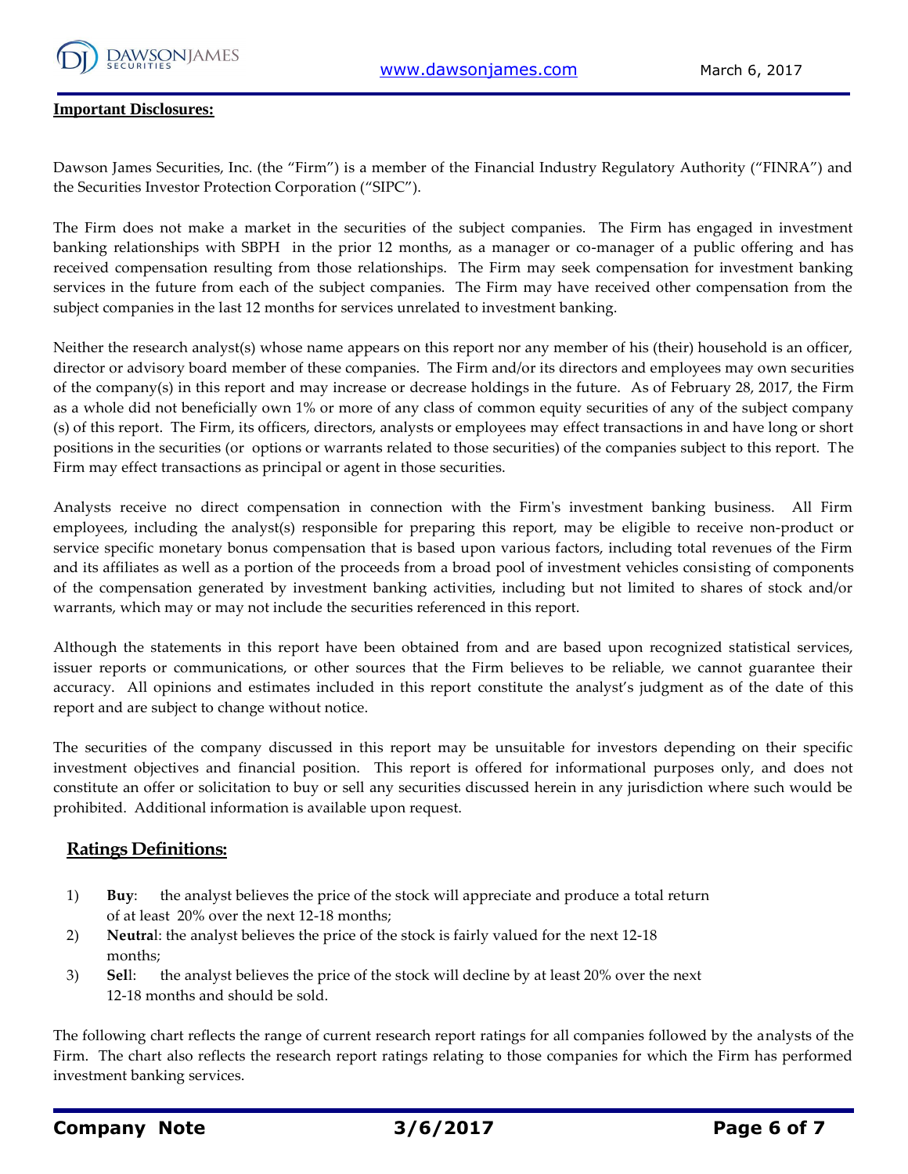

#### **Important Disclosures:**

Dawson James Securities, Inc. (the "Firm") is a member of the Financial Industry Regulatory Authority ("FINRA") and the Securities Investor Protection Corporation ("SIPC").

The Firm does not make a market in the securities of the subject companies. The Firm has engaged in investment banking relationships with SBPH in the prior 12 months, as a manager or co-manager of a public offering and has received compensation resulting from those relationships. The Firm may seek compensation for investment banking services in the future from each of the subject companies. The Firm may have received other compensation from the subject companies in the last 12 months for services unrelated to investment banking.

Neither the research analyst(s) whose name appears on this report nor any member of his (their) household is an officer, director or advisory board member of these companies. The Firm and/or its directors and employees may own securities of the company(s) in this report and may increase or decrease holdings in the future. As of February 28, 2017, the Firm as a whole did not beneficially own 1% or more of any class of common equity securities of any of the subject company (s) of this report. The Firm, its officers, directors, analysts or employees may effect transactions in and have long or short positions in the securities (or options or warrants related to those securities) of the companies subject to this report. The Firm may effect transactions as principal or agent in those securities.

Analysts receive no direct compensation in connection with the Firm's investment banking business. All Firm employees, including the analyst(s) responsible for preparing this report, may be eligible to receive non-product or service specific monetary bonus compensation that is based upon various factors, including total revenues of the Firm and its affiliates as well as a portion of the proceeds from a broad pool of investment vehicles consisting of components of the compensation generated by investment banking activities, including but not limited to shares of stock and/or warrants, which may or may not include the securities referenced in this report.

Although the statements in this report have been obtained from and are based upon recognized statistical services, issuer reports or communications, or other sources that the Firm believes to be reliable, we cannot guarantee their accuracy. All opinions and estimates included in this report constitute the analyst's judgment as of the date of this report and are subject to change without notice.

The securities of the company discussed in this report may be unsuitable for investors depending on their specific investment objectives and financial position. This report is offered for informational purposes only, and does not constitute an offer or solicitation to buy or sell any securities discussed herein in any jurisdiction where such would be prohibited. Additional information is available upon request.

#### **Ratings Definitions:**

- 1) **Buy**: the analyst believes the price of the stock will appreciate and produce a total return of at least 20% over the next 12-18 months;
- 2) **Neutra**l: the analyst believes the price of the stock is fairly valued for the next 12-18 months;
- 3) **Sel**l: the analyst believes the price of the stock will decline by at least 20% over the next 12-18 months and should be sold.

The following chart reflects the range of current research report ratings for all companies followed by the analysts of the Firm. The chart also reflects the research report ratings relating to those companies for which the Firm has performed investment banking services.